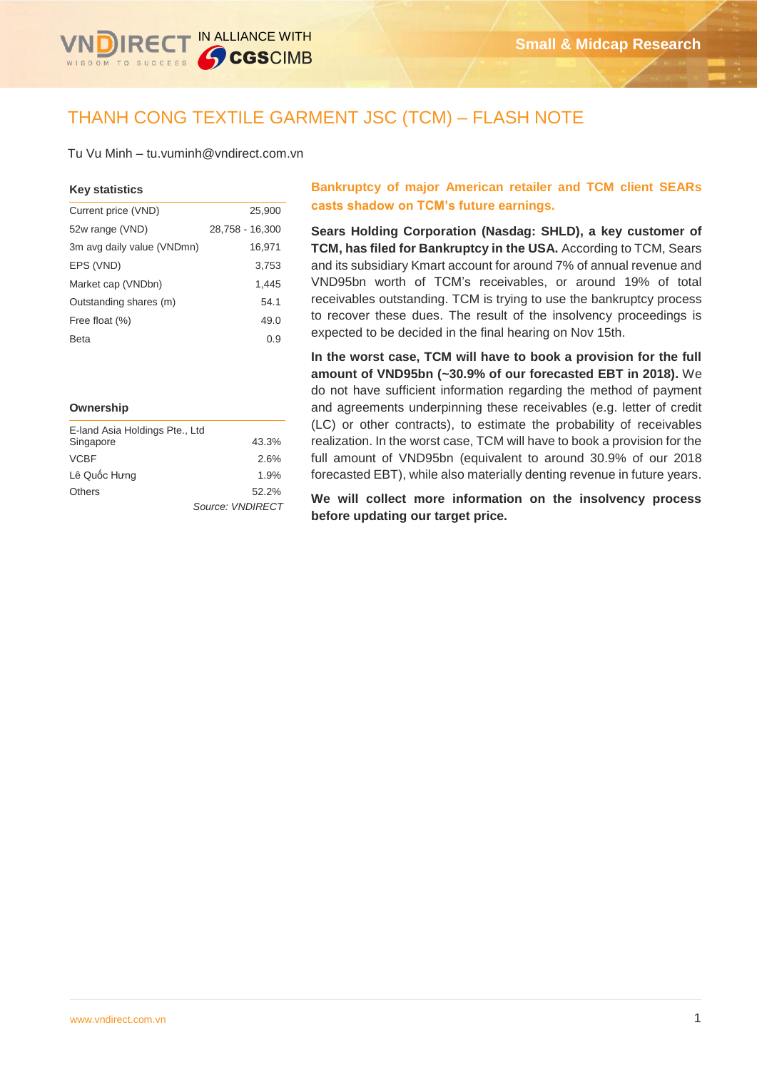

# THANH CONG TEXTILE GARMENT JSC (TCM) – FLASH NOTE

Tu Vu Minh – tu.vuminh@vndirect.com.vn

#### **Key statistics**

| Current price (VND)        | 25,900          |
|----------------------------|-----------------|
| 52w range (VND)            | 28,758 - 16,300 |
| 3m avg daily value (VNDmn) | 16,971          |
| EPS (VND)                  | 3.753           |
| Market cap (VNDbn)         | 1.445           |
| Outstanding shares (m)     | 54.1            |
| Free float (%)             | 49.0            |
| Beta                       | 0.9             |

#### **Ownership**

| E-land Asia Holdings Pte., Ltd |                  |
|--------------------------------|------------------|
| Singapore                      | 43.3%            |
| <b>VCBF</b>                    | 2.6%             |
| Lê Quốc Hưng                   | 1.9%             |
| <b>Others</b>                  | 52.2%            |
|                                | Source: VNDIRECT |

### **Bankruptcy of major American retailer and TCM client SEARs casts shadow on TCM's future earnings.**

**Sears Holding Corporation (Nasdag: SHLD), a key customer of TCM, has filed for Bankruptcy in the USA.** According to TCM, Sears and its subsidiary Kmart account for around 7% of annual revenue and VND95bn worth of TCM's receivables, or around 19% of total receivables outstanding. TCM is trying to use the bankruptcy process to recover these dues. The result of the insolvency proceedings is expected to be decided in the final hearing on Nov 15th.

**In the worst case, TCM will have to book a provision for the full amount of VND95bn (~30.9% of our forecasted EBT in 2018).** We do not have sufficient information regarding the method of payment and agreements underpinning these receivables (e.g. letter of credit (LC) or other contracts), to estimate the probability of receivables realization. In the worst case, TCM will have to book a provision for the full amount of VND95bn (equivalent to around 30.9% of our 2018 forecasted EBT), while also materially denting revenue in future years.

**We will collect more information on the insolvency process before updating our target price.**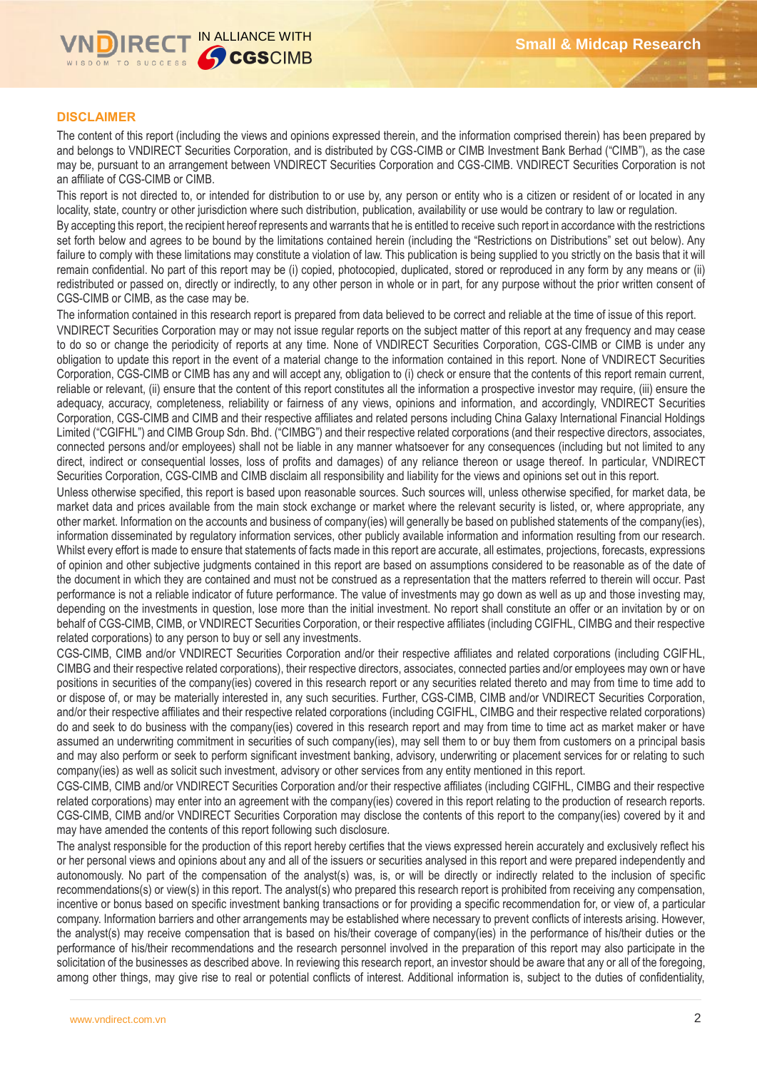

### **DISCLAIMER**

The content of this report (including the views and opinions expressed therein, and the information comprised therein) has been prepared by and belongs to VNDIRECT Securities Corporation, and is distributed by CGS-CIMB or CIMB Investment Bank Berhad ("CIMB"), as the case may be, pursuant to an arrangement between VNDIRECT Securities Corporation and CGS-CIMB. VNDIRECT Securities Corporation is not an affiliate of CGS-CIMB or CIMB.

This report is not directed to, or intended for distribution to or use by, any person or entity who is a citizen or resident of or located in any locality, state, country or other jurisdiction where such distribution, publication, availability or use would be contrary to law or regulation.

By accepting this report, the recipient hereof represents and warrants that he is entitled to receive such report in accordance with the restrictions set forth below and agrees to be bound by the limitations contained herein (including the "Restrictions on Distributions" set out below). Any failure to comply with these limitations may constitute a violation of law. This publication is being supplied to you strictly on the basis that it will remain confidential. No part of this report may be (i) copied, photocopied, duplicated, stored or reproduced in any form by any means or (ii) redistributed or passed on, directly or indirectly, to any other person in whole or in part, for any purpose without the prior written consent of CGS-CIMB or CIMB, as the case may be.

The information contained in this research report is prepared from data believed to be correct and reliable at the time of issue of this report. VNDIRECT Securities Corporation may or may not issue regular reports on the subject matter of this report at any frequency and may cease to do so or change the periodicity of reports at any time. None of VNDIRECT Securities Corporation, CGS-CIMB or CIMB is under any obligation to update this report in the event of a material change to the information contained in this report. None of VNDIRECT Securities Corporation, CGS-CIMB or CIMB has any and will accept any, obligation to (i) check or ensure that the contents of this report remain current, reliable or relevant, (ii) ensure that the content of this report constitutes all the information a prospective investor may require, (iii) ensure the adequacy, accuracy, completeness, reliability or fairness of any views, opinions and information, and accordingly, VNDIRECT Securities Corporation, CGS-CIMB and CIMB and their respective affiliates and related persons including China Galaxy International Financial Holdings Limited ("CGIFHL") and CIMB Group Sdn. Bhd. ("CIMBG") and their respective related corporations (and their respective directors, associates, connected persons and/or employees) shall not be liable in any manner whatsoever for any consequences (including but not limited to any direct, indirect or consequential losses, loss of profits and damages) of any reliance thereon or usage thereof. In particular, VNDIRECT Securities Corporation, CGS-CIMB and CIMB disclaim all responsibility and liability for the views and opinions set out in this report.

Unless otherwise specified, this report is based upon reasonable sources. Such sources will, unless otherwise specified, for market data, be market data and prices available from the main stock exchange or market where the relevant security is listed, or, where appropriate, any other market. Information on the accounts and business of company(ies) will generally be based on published statements of the company(ies), information disseminated by regulatory information services, other publicly available information and information resulting from our research. Whilst every effort is made to ensure that statements of facts made in this report are accurate, all estimates, projections, forecasts, expressions of opinion and other subjective judgments contained in this report are based on assumptions considered to be reasonable as of the date of the document in which they are contained and must not be construed as a representation that the matters referred to therein will occur. Past performance is not a reliable indicator of future performance. The value of investments may go down as well as up and those investing may, depending on the investments in question, lose more than the initial investment. No report shall constitute an offer or an invitation by or on behalf of CGS-CIMB, CIMB, or VNDIRECT Securities Corporation, or their respective affiliates (including CGIFHL, CIMBG and their respective related corporations) to any person to buy or sell any investments.

CGS-CIMB, CIMB and/or VNDIRECT Securities Corporation and/or their respective affiliates and related corporations (including CGIFHL, CIMBG and their respective related corporations), their respective directors, associates, connected parties and/or employees may own or have positions in securities of the company(ies) covered in this research report or any securities related thereto and may from time to time add to or dispose of, or may be materially interested in, any such securities. Further, CGS-CIMB, CIMB and/or VNDIRECT Securities Corporation, and/or their respective affiliates and their respective related corporations (including CGIFHL, CIMBG and their respective related corporations) do and seek to do business with the company(ies) covered in this research report and may from time to time act as market maker or have assumed an underwriting commitment in securities of such company(ies), may sell them to or buy them from customers on a principal basis and may also perform or seek to perform significant investment banking, advisory, underwriting or placement services for or relating to such company(ies) as well as solicit such investment, advisory or other services from any entity mentioned in this report.

CGS-CIMB, CIMB and/or VNDIRECT Securities Corporation and/or their respective affiliates (including CGIFHL, CIMBG and their respective related corporations) may enter into an agreement with the company(ies) covered in this report relating to the production of research reports. CGS-CIMB, CIMB and/or VNDIRECT Securities Corporation may disclose the contents of this report to the company(ies) covered by it and may have amended the contents of this report following such disclosure.

The analyst responsible for the production of this report hereby certifies that the views expressed herein accurately and exclusively reflect his or her personal views and opinions about any and all of the issuers or securities analysed in this report and were prepared independently and autonomously. No part of the compensation of the analyst(s) was, is, or will be directly or indirectly related to the inclusion of specific recommendations(s) or view(s) in this report. The analyst(s) who prepared this research report is prohibited from receiving any compensation, incentive or bonus based on specific investment banking transactions or for providing a specific recommendation for, or view of, a particular company. Information barriers and other arrangements may be established where necessary to prevent conflicts of interests arising. However, the analyst(s) may receive compensation that is based on his/their coverage of company(ies) in the performance of his/their duties or the performance of his/their recommendations and the research personnel involved in the preparation of this report may also participate in the solicitation of the businesses as described above. In reviewing this research report, an investor should be aware that any or all of the foregoing, among other things, may give rise to real or potential conflicts of interest. Additional information is, subject to the duties of confidentiality,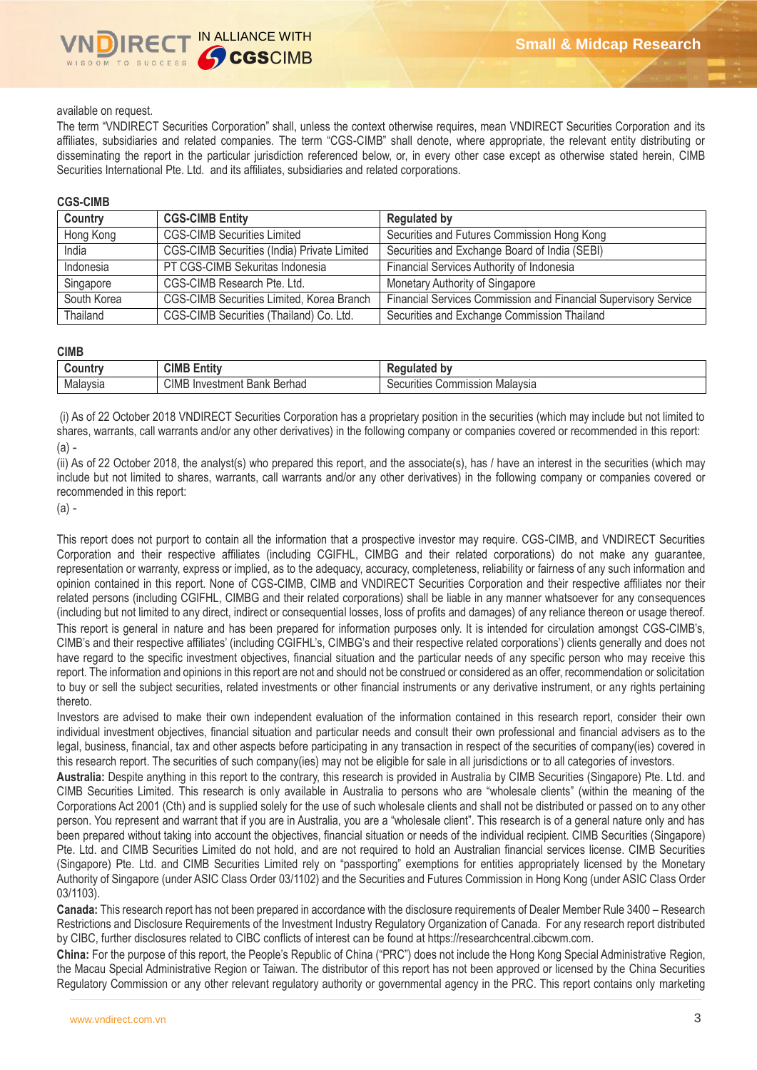### available on request.

The term "VNDIRECT Securities Corporation" shall, unless the context otherwise requires, mean VNDIRECT Securities Corporation and its affiliates, subsidiaries and related companies. The term "CGS-CIMB" shall denote, where appropriate, the relevant entity distributing or disseminating the report in the particular jurisdiction referenced below, or, in every other case except as otherwise stated herein, CIMB Securities International Pte. Ltd. and its affiliates, subsidiaries and related corporations.

#### **CGS-CIMB**

| Country     | <b>CGS-CIMB Entity</b>                             | <b>Regulated by</b>                                             |
|-------------|----------------------------------------------------|-----------------------------------------------------------------|
| Hong Kong   | <b>CGS-CIMB Securities Limited</b>                 | Securities and Futures Commission Hong Kong                     |
| India       | <b>CGS-CIMB Securities (India) Private Limited</b> | Securities and Exchange Board of India (SEBI)                   |
| Indonesia   | PT CGS-CIMB Sekuritas Indonesia                    | Financial Services Authority of Indonesia                       |
| Singapore   | CGS-CIMB Research Pte. Ltd.                        | Monetary Authority of Singapore                                 |
| South Korea | CGS-CIMB Securities Limited, Korea Branch          | Financial Services Commission and Financial Supervisory Service |
| Thailand    | CGS-CIMB Securities (Thailand) Co. Ltd.            | Securities and Exchange Commission Thailand                     |

#### **CIMB**

| .ountr<br> | CIMB<br>$\overline{1}$<br>$\equiv$<br><b>Entit</b>                           | bv<br>டய<br>$\sim$                          |
|------------|------------------------------------------------------------------------------|---------------------------------------------|
| Malaysia   | <b>CIMB</b><br>Berhad<br>nvestment<br>In<br>$\overline{\phantom{a}}$<br>Bank | Malavsia<br>ommission<br>Securities<br>UU . |

(i) As of 22 October 2018 VNDIRECT Securities Corporation has a proprietary position in the securities (which may include but not limited to shares, warrants, call warrants and/or any other derivatives) in the following company or companies covered or recommended in this report: (a) -

(ii) As of 22 October 2018, the analyst(s) who prepared this report, and the associate(s), has / have an interest in the securities (which may include but not limited to shares, warrants, call warrants and/or any other derivatives) in the following company or companies covered or recommended in this report:

(a) -

This report does not purport to contain all the information that a prospective investor may require. CGS-CIMB, and VNDIRECT Securities Corporation and their respective affiliates (including CGIFHL, CIMBG and their related corporations) do not make any guarantee, representation or warranty, express or implied, as to the adequacy, accuracy, completeness, reliability or fairness of any such information and opinion contained in this report. None of CGS-CIMB, CIMB and VNDIRECT Securities Corporation and their respective affiliates nor their related persons (including CGIFHL, CIMBG and their related corporations) shall be liable in any manner whatsoever for any consequences (including but not limited to any direct, indirect or consequential losses, loss of profits and damages) of any reliance thereon or usage thereof. This report is general in nature and has been prepared for information purposes only. It is intended for circulation amongst CGS-CIMB's, CIMB's and their respective affiliates' (including CGIFHL's, CIMBG's and their respective related corporations') clients generally and does not have regard to the specific investment objectives, financial situation and the particular needs of any specific person who may receive this report. The information and opinions in this report are not and should not be construed or considered as an offer, recommendation or solicitation to buy or sell the subject securities, related investments or other financial instruments or any derivative instrument, or any rights pertaining thereto.

Investors are advised to make their own independent evaluation of the information contained in this research report, consider their own individual investment objectives, financial situation and particular needs and consult their own professional and financial advisers as to the legal, business, financial, tax and other aspects before participating in any transaction in respect of the securities of company(ies) covered in this research report. The securities of such company(ies) may not be eligible for sale in all jurisdictions or to all categories of investors.

**Australia:** Despite anything in this report to the contrary, this research is provided in Australia by CIMB Securities (Singapore) Pte. Ltd. and CIMB Securities Limited. This research is only available in Australia to persons who are "wholesale clients" (within the meaning of the Corporations Act 2001 (Cth) and is supplied solely for the use of such wholesale clients and shall not be distributed or passed on to any other person. You represent and warrant that if you are in Australia, you are a "wholesale client". This research is of a general nature only and has been prepared without taking into account the objectives, financial situation or needs of the individual recipient. CIMB Securities (Singapore) Pte. Ltd. and CIMB Securities Limited do not hold, and are not required to hold an Australian financial services license. CIMB Securities (Singapore) Pte. Ltd. and CIMB Securities Limited rely on "passporting" exemptions for entities appropriately licensed by the Monetary Authority of Singapore (under ASIC Class Order 03/1102) and the Securities and Futures Commission in Hong Kong (under ASIC Class Order 03/1103).

**Canada:** This research report has not been prepared in accordance with the disclosure requirements of Dealer Member Rule 3400 – Research Restrictions and Disclosure Requirements of the Investment Industry Regulatory Organization of Canada. For any research report distributed by CIBC, further disclosures related to CIBC conflicts of interest can be found at https://researchcentral.cibcwm.com.

**China:** For the purpose of this report, the People's Republic of China ("PRC") does not include the Hong Kong Special Administrative Region, the Macau Special Administrative Region or Taiwan. The distributor of this report has not been approved or licensed by the China Securities Regulatory Commission or any other relevant regulatory authority or governmental agency in the PRC. This report contains only marketing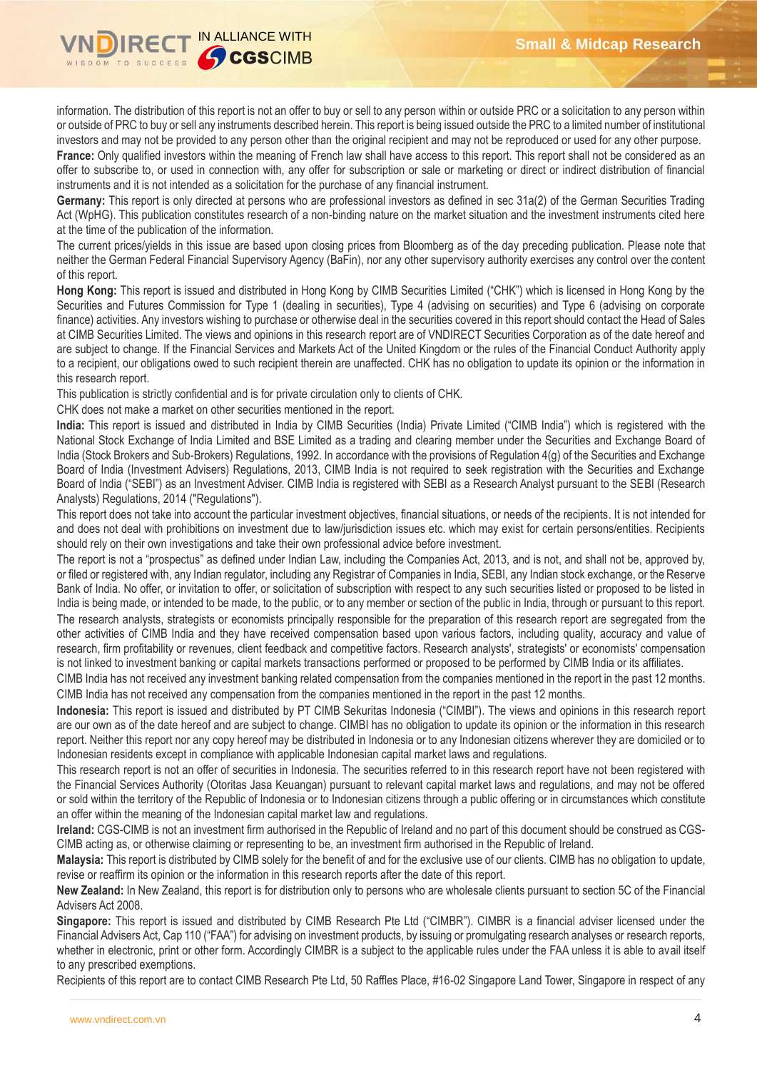

information. The distribution of this report is not an offer to buy or sell to any person within or outside PRC or a solicitation to any person within or outside of PRC to buy or sell any instruments described herein. This report is being issued outside the PRC to a limited number of institutional investors and may not be provided to any person other than the original recipient and may not be reproduced or used for any other purpose.

France: Only qualified investors within the meaning of French law shall have access to this report. This report shall not be considered as an offer to subscribe to, or used in connection with, any offer for subscription or sale or marketing or direct or indirect distribution of financial instruments and it is not intended as a solicitation for the purchase of any financial instrument.

**Germany:** This report is only directed at persons who are professional investors as defined in sec 31a(2) of the German Securities Trading Act (WpHG). This publication constitutes research of a non-binding nature on the market situation and the investment instruments cited here at the time of the publication of the information.

The current prices/yields in this issue are based upon closing prices from Bloomberg as of the day preceding publication. Please note that neither the German Federal Financial Supervisory Agency (BaFin), nor any other supervisory authority exercises any control over the content of this report.

**Hong Kong:** This report is issued and distributed in Hong Kong by CIMB Securities Limited ("CHK") which is licensed in Hong Kong by the Securities and Futures Commission for Type 1 (dealing in securities), Type 4 (advising on securities) and Type 6 (advising on corporate finance) activities. Any investors wishing to purchase or otherwise deal in the securities covered in this report should contact the Head of Sales at CIMB Securities Limited. The views and opinions in this research report are of VNDIRECT Securities Corporation as of the date hereof and are subject to change. If the Financial Services and Markets Act of the United Kingdom or the rules of the Financial Conduct Authority apply to a recipient, our obligations owed to such recipient therein are unaffected. CHK has no obligation to update its opinion or the information in this research report.

This publication is strictly confidential and is for private circulation only to clients of CHK.

CHK does not make a market on other securities mentioned in the report.

**India:** This report is issued and distributed in India by CIMB Securities (India) Private Limited ("CIMB India") which is registered with the National Stock Exchange of India Limited and BSE Limited as a trading and clearing member under the Securities and Exchange Board of India (Stock Brokers and Sub-Brokers) Regulations, 1992. In accordance with the provisions of Regulation 4(g) of the Securities and Exchange Board of India (Investment Advisers) Regulations, 2013, CIMB India is not required to seek registration with the Securities and Exchange Board of India ("SEBI") as an Investment Adviser. CIMB India is registered with SEBI as a Research Analyst pursuant to the SEBI (Research Analysts) Regulations, 2014 ("Regulations").

This report does not take into account the particular investment objectives, financial situations, or needs of the recipients. It is not intended for and does not deal with prohibitions on investment due to law/jurisdiction issues etc. which may exist for certain persons/entities. Recipients should rely on their own investigations and take their own professional advice before investment.

The report is not a "prospectus" as defined under Indian Law, including the Companies Act, 2013, and is not, and shall not be, approved by, or filed or registered with, any Indian regulator, including any Registrar of Companies in India, SEBI, any Indian stock exchange, or the Reserve Bank of India. No offer, or invitation to offer, or solicitation of subscription with respect to any such securities listed or proposed to be listed in India is being made, or intended to be made, to the public, or to any member or section of the public in India, through or pursuant to this report. The research analysts, strategists or economists principally responsible for the preparation of this research report are segregated from the other activities of CIMB India and they have received compensation based upon various factors, including quality, accuracy and value of research, firm profitability or revenues, client feedback and competitive factors. Research analysts', strategists' or economists' compensation is not linked to investment banking or capital markets transactions performed or proposed to be performed by CIMB India or its affiliates.

CIMB India has not received any investment banking related compensation from the companies mentioned in the report in the past 12 months. CIMB India has not received any compensation from the companies mentioned in the report in the past 12 months.

**Indonesia:** This report is issued and distributed by PT CIMB Sekuritas Indonesia ("CIMBI"). The views and opinions in this research report are our own as of the date hereof and are subject to change. CIMBI has no obligation to update its opinion or the information in this research report. Neither this report nor any copy hereof may be distributed in Indonesia or to any Indonesian citizens wherever they are domiciled or to Indonesian residents except in compliance with applicable Indonesian capital market laws and regulations.

This research report is not an offer of securities in Indonesia. The securities referred to in this research report have not been registered with the Financial Services Authority (Otoritas Jasa Keuangan) pursuant to relevant capital market laws and regulations, and may not be offered or sold within the territory of the Republic of Indonesia or to Indonesian citizens through a public offering or in circumstances which constitute an offer within the meaning of the Indonesian capital market law and regulations.

**Ireland:** CGS-CIMB is not an investment firm authorised in the Republic of Ireland and no part of this document should be construed as CGS-CIMB acting as, or otherwise claiming or representing to be, an investment firm authorised in the Republic of Ireland.

**Malaysia:** This report is distributed by CIMB solely for the benefit of and for the exclusive use of our clients. CIMB has no obligation to update, revise or reaffirm its opinion or the information in this research reports after the date of this report.

**New Zealand:** In New Zealand, this report is for distribution only to persons who are wholesale clients pursuant to section 5C of the Financial Advisers Act 2008.

**Singapore:** This report is issued and distributed by CIMB Research Pte Ltd ("CIMBR"). CIMBR is a financial adviser licensed under the Financial Advisers Act, Cap 110 ("FAA") for advising on investment products, by issuing or promulgating research analyses or research reports, whether in electronic, print or other form. Accordingly CIMBR is a subject to the applicable rules under the FAA unless it is able to avail itself to any prescribed exemptions.

Recipients of this report are to contact CIMB Research Pte Ltd, 50 Raffles Place, #16-02 Singapore Land Tower, Singapore in respect of any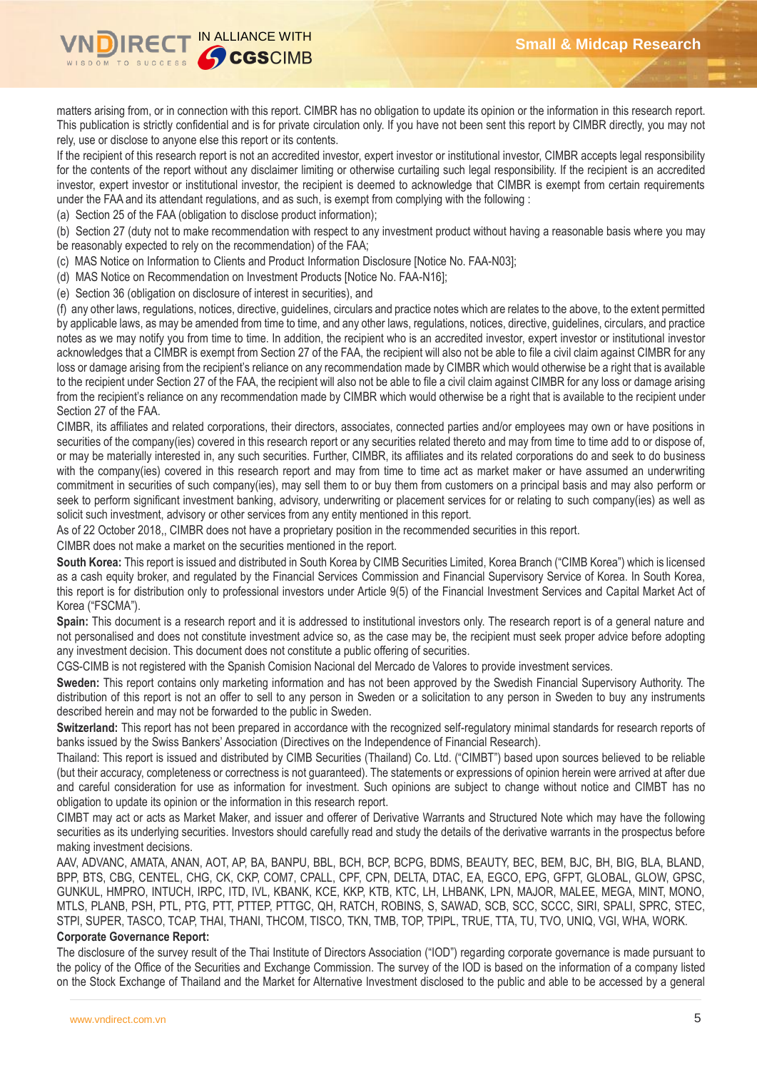

matters arising from, or in connection with this report. CIMBR has no obligation to update its opinion or the information in this research report. This publication is strictly confidential and is for private circulation only. If you have not been sent this report by CIMBR directly, you may not rely, use or disclose to anyone else this report or its contents.

If the recipient of this research report is not an accredited investor, expert investor or institutional investor, CIMBR accepts legal responsibility for the contents of the report without any disclaimer limiting or otherwise curtailing such legal responsibility. If the recipient is an accredited investor, expert investor or institutional investor, the recipient is deemed to acknowledge that CIMBR is exempt from certain requirements under the FAA and its attendant regulations, and as such, is exempt from complying with the following :

(a) Section 25 of the FAA (obligation to disclose product information);

(b) Section 27 (duty not to make recommendation with respect to any investment product without having a reasonable basis where you may be reasonably expected to rely on the recommendation) of the FAA;

(c) MAS Notice on Information to Clients and Product Information Disclosure [Notice No. FAA-N03];

(d) MAS Notice on Recommendation on Investment Products [Notice No. FAA-N16];

(e) Section 36 (obligation on disclosure of interest in securities), and

(f) any other laws, regulations, notices, directive, guidelines, circulars and practice notes which are relates to the above, to the extent permitted by applicable laws, as may be amended from time to time, and any other laws, regulations, notices, directive, guidelines, circulars, and practice notes as we may notify you from time to time. In addition, the recipient who is an accredited investor, expert investor or institutional investor acknowledges that a CIMBR is exempt from Section 27 of the FAA, the recipient will also not be able to file a civil claim against CIMBR for any loss or damage arising from the recipient's reliance on any recommendation made by CIMBR which would otherwise be a right that is available to the recipient under Section 27 of the FAA, the recipient will also not be able to file a civil claim against CIMBR for any loss or damage arising from the recipient's reliance on any recommendation made by CIMBR which would otherwise be a right that is available to the recipient under Section 27 of the FAA.

CIMBR, its affiliates and related corporations, their directors, associates, connected parties and/or employees may own or have positions in securities of the company(ies) covered in this research report or any securities related thereto and may from time to time add to or dispose of, or may be materially interested in, any such securities. Further, CIMBR, its affiliates and its related corporations do and seek to do business with the company(ies) covered in this research report and may from time to time act as market maker or have assumed an underwriting commitment in securities of such company(ies), may sell them to or buy them from customers on a principal basis and may also perform or seek to perform significant investment banking, advisory, underwriting or placement services for or relating to such company(ies) as well as solicit such investment, advisory or other services from any entity mentioned in this report.

As of 22 October 2018,, CIMBR does not have a proprietary position in the recommended securities in this report.

CIMBR does not make a market on the securities mentioned in the report.

**South Korea:** This report is issued and distributed in South Korea by CIMB Securities Limited, Korea Branch ("CIMB Korea") which is licensed as a cash equity broker, and regulated by the Financial Services Commission and Financial Supervisory Service of Korea. In South Korea, this report is for distribution only to professional investors under Article 9(5) of the Financial Investment Services and Capital Market Act of Korea ("FSCMA").

**Spain:** This document is a research report and it is addressed to institutional investors only. The research report is of a general nature and not personalised and does not constitute investment advice so, as the case may be, the recipient must seek proper advice before adopting any investment decision. This document does not constitute a public offering of securities.

CGS-CIMB is not registered with the Spanish Comision Nacional del Mercado de Valores to provide investment services.

**Sweden:** This report contains only marketing information and has not been approved by the Swedish Financial Supervisory Authority. The distribution of this report is not an offer to sell to any person in Sweden or a solicitation to any person in Sweden to buy any instruments described herein and may not be forwarded to the public in Sweden.

**Switzerland:** This report has not been prepared in accordance with the recognized self-regulatory minimal standards for research reports of banks issued by the Swiss Bankers' Association (Directives on the Independence of Financial Research).

Thailand: This report is issued and distributed by CIMB Securities (Thailand) Co. Ltd. ("CIMBT") based upon sources believed to be reliable (but their accuracy, completeness or correctness is not guaranteed). The statements or expressions of opinion herein were arrived at after due and careful consideration for use as information for investment. Such opinions are subject to change without notice and CIMBT has no obligation to update its opinion or the information in this research report.

CIMBT may act or acts as Market Maker, and issuer and offerer of Derivative Warrants and Structured Note which may have the following securities as its underlying securities. Investors should carefully read and study the details of the derivative warrants in the prospectus before making investment decisions.

AAV, ADVANC, AMATA, ANAN, AOT, AP, BA, BANPU, BBL, BCH, BCP, BCPG, BDMS, BEAUTY, BEC, BEM, BJC, BH, BIG, BLA, BLAND, BPP, BTS, CBG, CENTEL, CHG, CK, CKP, COM7, CPALL, CPF, CPN, DELTA, DTAC, EA, EGCO, EPG, GFPT, GLOBAL, GLOW, GPSC, GUNKUL, HMPRO, INTUCH, IRPC, ITD, IVL, KBANK, KCE, KKP, KTB, KTC, LH, LHBANK, LPN, MAJOR, MALEE, MEGA, MINT, MONO, MTLS, PLANB, PSH, PTL, PTG, PTT, PTTEP, PTTGC, QH, RATCH, ROBINS, S, SAWAD, SCB, SCC, SCCC, SIRI, SPALI, SPRC, STEC, STPI, SUPER, TASCO, TCAP, THAI, THANI, THCOM, TISCO, TKN, TMB, TOP, TPIPL, TRUE, TTA, TU, TVO, UNIQ, VGI, WHA, WORK.

#### **Corporate Governance Report:**

The disclosure of the survey result of the Thai Institute of Directors Association ("IOD") regarding corporate governance is made pursuant to the policy of the Office of the Securities and Exchange Commission. The survey of the IOD is based on the information of a company listed on the Stock Exchange of Thailand and the Market for Alternative Investment disclosed to the public and able to be accessed by a general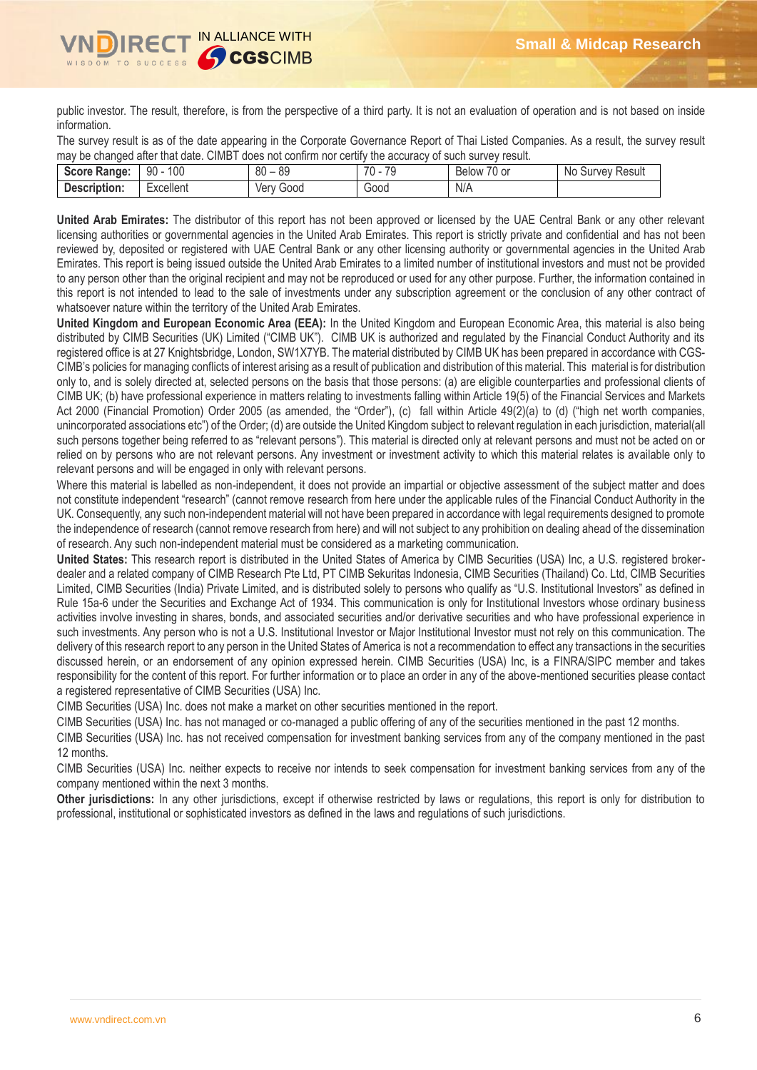

public investor. The result, therefore, is from the perspective of a third party. It is not an evaluation of operation and is not based on inside information.

The survey result is as of the date appearing in the Corporate Governance Report of Thai Listed Companies. As a result, the survey result may be changed after that date. CIMBT does not confirm nor certify the accuracy of such survey result.

| <b>Score Range:</b> | 100<br>90 | $\circ$<br>80<br>οz | 70<br>$\overline{\phantom{a}}$ | $\overline{\phantom{a}}$<br>$\overline{\phantom{a}}$<br>Below<br>/U or | No<br>Result<br>Survey |
|---------------------|-----------|---------------------|--------------------------------|------------------------------------------------------------------------|------------------------|
| Description:        | xcellent: | Good<br>ver         | Good                           | N/A                                                                    |                        |

**United Arab Emirates:** The distributor of this report has not been approved or licensed by the UAE Central Bank or any other relevant licensing authorities or governmental agencies in the United Arab Emirates. This report is strictly private and confidential and has not been reviewed by, deposited or registered with UAE Central Bank or any other licensing authority or governmental agencies in the United Arab Emirates. This report is being issued outside the United Arab Emirates to a limited number of institutional investors and must not be provided to any person other than the original recipient and may not be reproduced or used for any other purpose. Further, the information contained in this report is not intended to lead to the sale of investments under any subscription agreement or the conclusion of any other contract of whatsoever nature within the territory of the United Arab Emirates.

**United Kingdom and European Economic Area (EEA):** In the United Kingdom and European Economic Area, this material is also being distributed by CIMB Securities (UK) Limited ("CIMB UK"). CIMB UK is authorized and regulated by the Financial Conduct Authority and its registered office is at 27 Knightsbridge, London, SW1X7YB. The material distributed by CIMB UK has been prepared in accordance with CGS-CIMB's policies for managing conflicts of interest arising as a result of publication and distribution of this material. This material is for distribution only to, and is solely directed at, selected persons on the basis that those persons: (a) are eligible counterparties and professional clients of CIMB UK; (b) have professional experience in matters relating to investments falling within Article 19(5) of the Financial Services and Markets Act 2000 (Financial Promotion) Order 2005 (as amended, the "Order"), (c) fall within Article 49(2)(a) to (d) ("high net worth companies, unincorporated associations etc") of the Order; (d) are outside the United Kingdom subject to relevant regulation in each jurisdiction, material(all such persons together being referred to as "relevant persons"). This material is directed only at relevant persons and must not be acted on or relied on by persons who are not relevant persons. Any investment or investment activity to which this material relates is available only to relevant persons and will be engaged in only with relevant persons.

Where this material is labelled as non-independent, it does not provide an impartial or objective assessment of the subject matter and does not constitute independent "research" (cannot remove research from here under the applicable rules of the Financial Conduct Authority in the UK. Consequently, any such non-independent material will not have been prepared in accordance with legal requirements designed to promote the independence of research (cannot remove research from here) and will not subject to any prohibition on dealing ahead of the dissemination of research. Any such non-independent material must be considered as a marketing communication.

**United States:** This research report is distributed in the United States of America by CIMB Securities (USA) Inc, a U.S. registered brokerdealer and a related company of CIMB Research Pte Ltd, PT CIMB Sekuritas Indonesia, CIMB Securities (Thailand) Co. Ltd, CIMB Securities Limited, CIMB Securities (India) Private Limited, and is distributed solely to persons who qualify as "U.S. Institutional Investors" as defined in Rule 15a-6 under the Securities and Exchange Act of 1934. This communication is only for Institutional Investors whose ordinary business activities involve investing in shares, bonds, and associated securities and/or derivative securities and who have professional experience in such investments. Any person who is not a U.S. Institutional Investor or Major Institutional Investor must not rely on this communication. The delivery of this research report to any person in the United States of America is not a recommendation to effect any transactions in the securities discussed herein, or an endorsement of any opinion expressed herein. CIMB Securities (USA) Inc, is a FINRA/SIPC member and takes responsibility for the content of this report. For further information or to place an order in any of the above-mentioned securities please contact a registered representative of CIMB Securities (USA) Inc.

CIMB Securities (USA) Inc. does not make a market on other securities mentioned in the report.

CIMB Securities (USA) Inc. has not managed or co-managed a public offering of any of the securities mentioned in the past 12 months.

CIMB Securities (USA) Inc. has not received compensation for investment banking services from any of the company mentioned in the past 12 months.

CIMB Securities (USA) Inc. neither expects to receive nor intends to seek compensation for investment banking services from any of the company mentioned within the next 3 months.

**Other jurisdictions:** In any other jurisdictions, except if otherwise restricted by laws or regulations, this report is only for distribution to professional, institutional or sophisticated investors as defined in the laws and regulations of such jurisdictions.